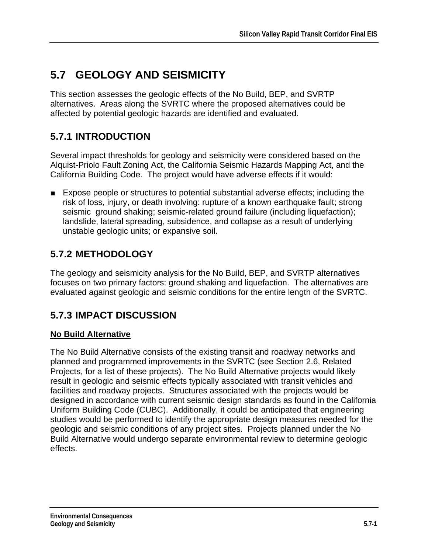# **5.7 GEOLOGY AND SEISMICITY**

This section assesses the geologic effects of the No Build, BEP, and SVRTP alternatives. Areas along the SVRTC where the proposed alternatives could be affected by potential geologic hazards are identified and evaluated.

### **5.7.1 INTRODUCTION**

Several impact thresholds for geology and seismicity were considered based on the Alquist-Priolo Fault Zoning Act, the California Seismic Hazards Mapping Act, and the California Building Code. The project would have adverse effects if it would:

■ Expose people or structures to potential substantial adverse effects; including the risk of loss, injury, or death involving: rupture of a known earthquake fault; strong seismic ground shaking; seismic-related ground failure (including liquefaction); landslide, lateral spreading, subsidence, and collapse as a result of underlying unstable geologic units; or expansive soil.

# **5.7.2 METHODOLOGY**

The geology and seismicity analysis for the No Build, BEP, and SVRTP alternatives focuses on two primary factors: ground shaking and liquefaction. The alternatives are evaluated against geologic and seismic conditions for the entire length of the SVRTC.

# **5.7.3 IMPACT DISCUSSION**

#### **No Build Alternative**

The No Build Alternative consists of the existing transit and roadway networks and planned and programmed improvements in the SVRTC (see Section 2.6, Related Projects, for a list of these projects). The No Build Alternative projects would likely result in geologic and seismic effects typically associated with transit vehicles and facilities and roadway projects. Structures associated with the projects would be designed in accordance with current seismic design standards as found in the California Uniform Building Code (CUBC). Additionally, it could be anticipated that engineering studies would be performed to identify the appropriate design measures needed for the geologic and seismic conditions of any project sites. Projects planned under the No Build Alternative would undergo separate environmental review to determine geologic effects.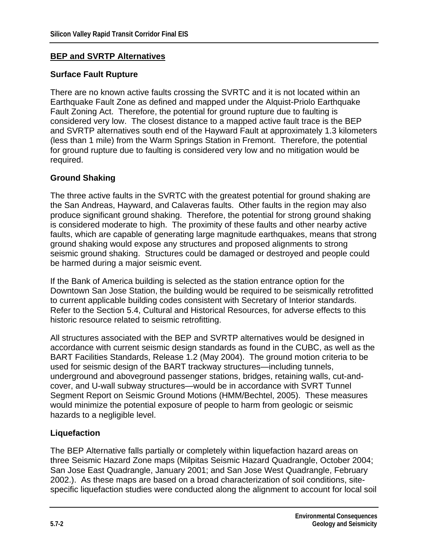#### **BEP and SVRTP Alternatives**

#### **Surface Fault Rupture**

There are no known active faults crossing the SVRTC and it is not located within an Earthquake Fault Zone as defined and mapped under the Alquist-Priolo Earthquake Fault Zoning Act. Therefore, the potential for ground rupture due to faulting is considered very low. The closest distance to a mapped active fault trace is the BEP and SVRTP alternatives south end of the Hayward Fault at approximately 1.3 kilometers (less than 1 mile) from the Warm Springs Station in Fremont. Therefore, the potential for ground rupture due to faulting is considered very low and no mitigation would be required.

#### **Ground Shaking**

The three active faults in the SVRTC with the greatest potential for ground shaking are the San Andreas, Hayward, and Calaveras faults. Other faults in the region may also produce significant ground shaking. Therefore, the potential for strong ground shaking is considered moderate to high. The proximity of these faults and other nearby active faults, which are capable of generating large magnitude earthquakes, means that strong ground shaking would expose any structures and proposed alignments to strong seismic ground shaking. Structures could be damaged or destroyed and people could be harmed during a major seismic event.

If the Bank of America building is selected as the station entrance option for the Downtown San Jose Station, the building would be required to be seismically retrofitted to current applicable building codes consistent with Secretary of Interior standards. Refer to the Section 5.4, Cultural and Historical Resources, for adverse effects to this historic resource related to seismic retrofitting.

All structures associated with the BEP and SVRTP alternatives would be designed in accordance with current seismic design standards as found in the CUBC, as well as the BART Facilities Standards, Release 1.2 (May 2004). The ground motion criteria to be used for seismic design of the BART trackway structures—including tunnels, underground and aboveground passenger stations, bridges, retaining walls, cut-andcover, and U-wall subway structures—would be in accordance with SVRT Tunnel Segment Report on Seismic Ground Motions (HMM/Bechtel, 2005). These measures would minimize the potential exposure of people to harm from geologic or seismic hazards to a negligible level.

#### **Liquefaction**

The BEP Alternative falls partially or completely within liquefaction hazard areas on three Seismic Hazard Zone maps (Milpitas Seismic Hazard Quadrangle, October 2004; San Jose East Quadrangle, January 2001; and San Jose West Quadrangle, February 2002.). As these maps are based on a broad characterization of soil conditions, sitespecific liquefaction studies were conducted along the alignment to account for local soil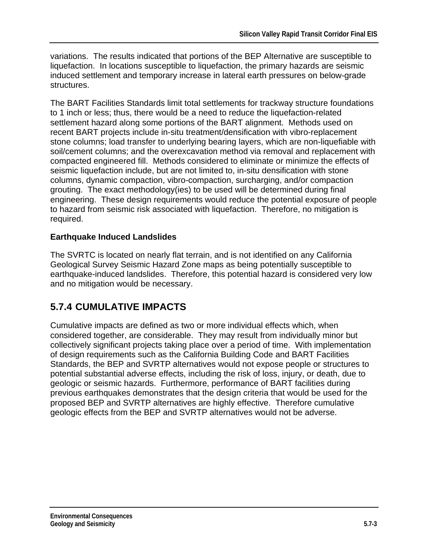variations. The results indicated that portions of the BEP Alternative are susceptible to liquefaction. In locations susceptible to liquefaction, the primary hazards are seismic induced settlement and temporary increase in lateral earth pressures on below-grade structures.

The BART Facilities Standards limit total settlements for trackway structure foundations to 1 inch or less; thus, there would be a need to reduce the liquefaction-related settlement hazard along some portions of the BART alignment. Methods used on recent BART projects include in-situ treatment/densification with vibro-replacement stone columns; load transfer to underlying bearing layers, which are non-liquefiable with soil/cement columns; and the overexcavation method via removal and replacement with compacted engineered fill. Methods considered to eliminate or minimize the effects of seismic liquefaction include, but are not limited to, in-situ densification with stone columns, dynamic compaction, vibro-compaction, surcharging, and/or compaction grouting. The exact methodology(ies) to be used will be determined during final engineering. These design requirements would reduce the potential exposure of people to hazard from seismic risk associated with liquefaction. Therefore, no mitigation is required.

#### **Earthquake Induced Landslides**

The SVRTC is located on nearly flat terrain, and is not identified on any California Geological Survey Seismic Hazard Zone maps as being potentially susceptible to earthquake-induced landslides. Therefore, this potential hazard is considered very low and no mitigation would be necessary.

### **5.7.4 CUMULATIVE IMPACTS**

Cumulative impacts are defined as two or more individual effects which, when considered together, are considerable. They may result from individually minor but collectively significant projects taking place over a period of time. With implementation of design requirements such as the California Building Code and BART Facilities Standards, the BEP and SVRTP alternatives would not expose people or structures to potential substantial adverse effects, including the risk of loss, injury, or death, due to geologic or seismic hazards. Furthermore, performance of BART facilities during previous earthquakes demonstrates that the design criteria that would be used for the proposed BEP and SVRTP alternatives are highly effective. Therefore cumulative geologic effects from the BEP and SVRTP alternatives would not be adverse.